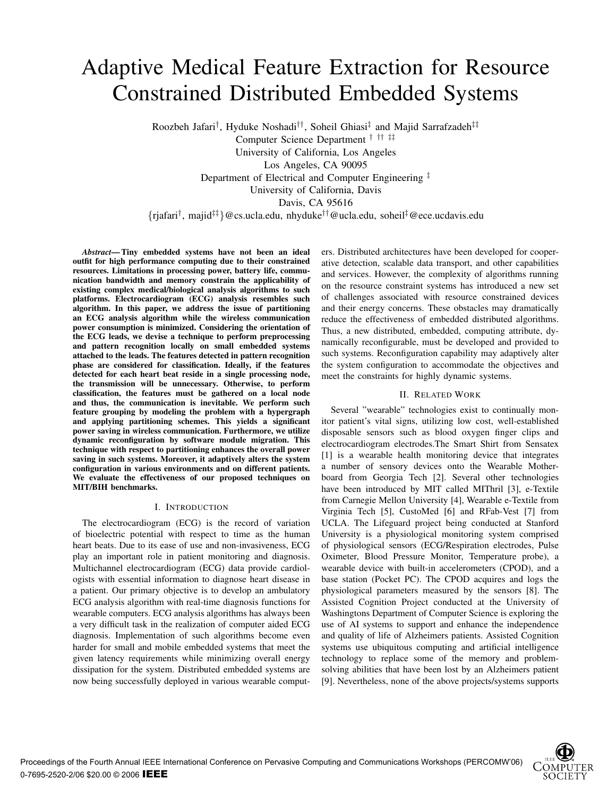# Adaptive Medical Feature Extraction for Resource Constrained Distributed Embedded Systems

Roozbeh Jafari†, Hyduke Noshadi††, Soheil Ghiasi‡ and Majid Sarrafzadeh‡‡

Computer Science Department † †† ‡‡ University of California, Los Angeles Los Angeles, CA 90095 Department of Electrical and Computer Engineering ‡ University of California, Davis Davis, CA 95616 {rjafari†, majid‡‡}@cs.ucla.edu, nhyduke††@ucla.edu, soheil‡@ece.ucdavis.edu

*Abstract*— Tiny embedded systems have not been an ideal outfit for high performance computing due to their constrained resources. Limitations in processing power, battery life, communication bandwidth and memory constrain the applicability of existing complex medical/biological analysis algorithms to such platforms. Electrocardiogram (ECG) analysis resembles such algorithm. In this paper, we address the issue of partitioning an ECG analysis algorithm while the wireless communication power consumption is minimized. Considering the orientation of the ECG leads, we devise a technique to perform preprocessing and pattern recognition locally on small embedded systems attached to the leads. The features detected in pattern recognition phase are considered for classification. Ideally, if the features detected for each heart beat reside in a single processing node, the transmission will be unnecessary. Otherwise, to perform classification, the features must be gathered on a local node and thus, the communication is inevitable. We perform such feature grouping by modeling the problem with a hypergraph and applying partitioning schemes. This yields a significant power saving in wireless communication. Furthermore, we utilize dynamic reconfiguration by software module migration. This technique with respect to partitioning enhances the overall power saving in such systems. Moreover, it adaptively alters the system configuration in various environments and on different patients. We evaluate the effectiveness of our proposed techniques on MIT/BIH benchmarks.

### I. INTRODUCTION

The electrocardiogram (ECG) is the record of variation of bioelectric potential with respect to time as the human heart beats. Due to its ease of use and non-invasiveness, ECG play an important role in patient monitoring and diagnosis. Multichannel electrocardiogram (ECG) data provide cardiologists with essential information to diagnose heart disease in a patient. Our primary objective is to develop an ambulatory ECG analysis algorithm with real-time diagnosis functions for wearable computers. ECG analysis algorithms has always been a very difficult task in the realization of computer aided ECG diagnosis. Implementation of such algorithms become even harder for small and mobile embedded systems that meet the given latency requirements while minimizing overall energy dissipation for the system. Distributed embedded systems are now being successfully deployed in various wearable computers. Distributed architectures have been developed for cooperative detection, scalable data transport, and other capabilities and services. However, the complexity of algorithms running on the resource constraint systems has introduced a new set of challenges associated with resource constrained devices and their energy concerns. These obstacles may dramatically reduce the effectiveness of embedded distributed algorithms. Thus, a new distributed, embedded, computing attribute, dynamically reconfigurable, must be developed and provided to such systems. Reconfiguration capability may adaptively alter the system configuration to accommodate the objectives and meet the constraints for highly dynamic systems.

#### II. RELATED WORK

Several "wearable" technologies exist to continually monitor patient's vital signs, utilizing low cost, well-established disposable sensors such as blood oxygen finger clips and electrocardiogram electrodes.The Smart Shirt from Sensatex [1] is a wearable health monitoring device that integrates a number of sensory devices onto the Wearable Motherboard from Georgia Tech [2]. Several other technologies have been introduced by MIT called MIThril [3], e-Textile from Carnegie Mellon University [4], Wearable e-Textile from Virginia Tech [5], CustoMed [6] and RFab-Vest [7] from UCLA. The Lifeguard project being conducted at Stanford University is a physiological monitoring system comprised of physiological sensors (ECG/Respiration electrodes, Pulse Oximeter, Blood Pressure Monitor, Temperature probe), a wearable device with built-in accelerometers (CPOD), and a base station (Pocket PC). The CPOD acquires and logs the physiological parameters measured by the sensors [8]. The Assisted Cognition Project conducted at the University of Washingtons Department of Computer Science is exploring the use of AI systems to support and enhance the independence and quality of life of Alzheimers patients. Assisted Cognition systems use ubiquitous computing and artificial intelligence technology to replace some of the memory and problemsolving abilities that have been lost by an Alzheimers patient [9]. Nevertheless, none of the above projects/systems supports

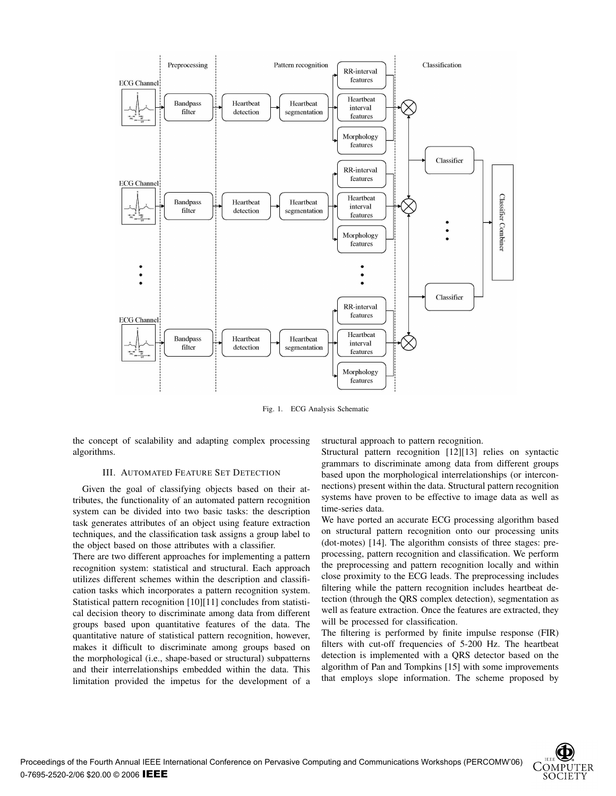

Fig. 1. ECG Analysis Schematic

the concept of scalability and adapting complex processing algorithms.

### III. AUTOMATED FEATURE SET DETECTION

Given the goal of classifying objects based on their attributes, the functionality of an automated pattern recognition system can be divided into two basic tasks: the description task generates attributes of an object using feature extraction techniques, and the classification task assigns a group label to the object based on those attributes with a classifier.

There are two different approaches for implementing a pattern recognition system: statistical and structural. Each approach utilizes different schemes within the description and classification tasks which incorporates a pattern recognition system. Statistical pattern recognition [10][11] concludes from statistical decision theory to discriminate among data from different groups based upon quantitative features of the data. The quantitative nature of statistical pattern recognition, however, makes it difficult to discriminate among groups based on the morphological (i.e., shape-based or structural) subpatterns and their interrelationships embedded within the data. This limitation provided the impetus for the development of a

structural approach to pattern recognition.

Structural pattern recognition [12][13] relies on syntactic grammars to discriminate among data from different groups based upon the morphological interrelationships (or interconnections) present within the data. Structural pattern recognition systems have proven to be effective to image data as well as time-series data.

We have ported an accurate ECG processing algorithm based on structural pattern recognition onto our processing units (dot-motes) [14]. The algorithm consists of three stages: preprocessing, pattern recognition and classification. We perform the preprocessing and pattern recognition locally and within close proximity to the ECG leads. The preprocessing includes filtering while the pattern recognition includes heartbeat detection (through the QRS complex detection), segmentation as well as feature extraction. Once the features are extracted, they will be processed for classification.

The filtering is performed by finite impulse response (FIR) filters with cut-off frequencies of 5-200 Hz. The heartbeat detection is implemented with a QRS detector based on the algorithm of Pan and Tompkins [15] with some improvements that employs slope information. The scheme proposed by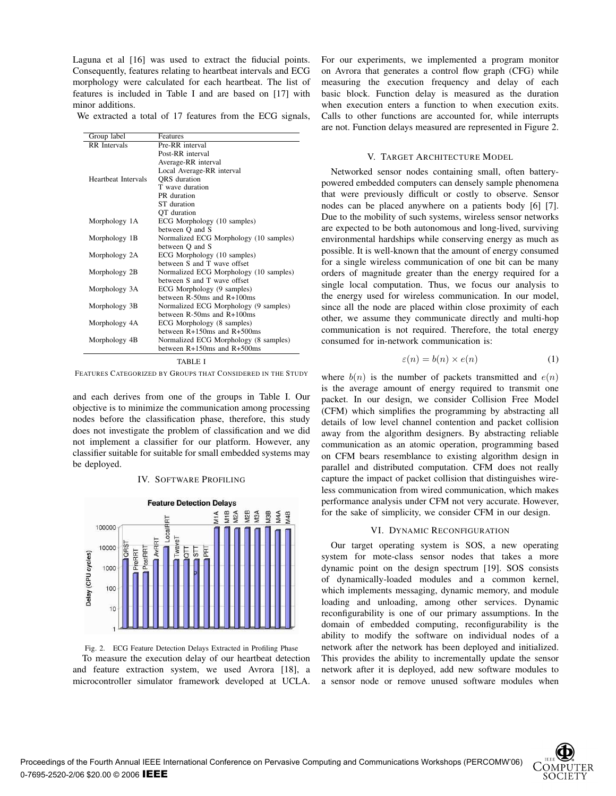Laguna et al [16] was used to extract the fiducial points. Consequently, features relating to heartbeat intervals and ECG morphology were calculated for each heartbeat. The list of features is included in Table I and are based on [17] with minor additions.

We extracted a total of 17 features from the ECG signals,

| Group label         | <b>Features</b>                        |
|---------------------|----------------------------------------|
| <b>RR</b> Intervals | Pre-RR interval                        |
|                     | Post-RR interval                       |
|                     | Average-RR interval                    |
|                     | Local Average-RR interval              |
| Heartheat Intervals | <b>ORS</b> duration                    |
|                     | T wave duration                        |
|                     | PR duration                            |
|                     | ST duration                            |
|                     | OT duration                            |
| Morphology 1A       | ECG Morphology (10 samples)            |
|                     | between Q and S                        |
| Morphology 1B       | Normalized ECG Morphology (10 samples) |
|                     | between Q and S                        |
| Morphology 2A       | ECG Morphology (10 samples)            |
|                     | between S and T wave offset            |
| Morphology 2B       | Normalized ECG Morphology (10 samples) |
|                     | between S and T wave offset            |
| Morphology 3A       | ECG Morphology (9 samples)             |
|                     | between $R-50ms$ and $R+100ms$         |
| Morphology 3B       | Normalized ECG Morphology (9 samples)  |
|                     | between $R-50$ ms and $R+100$ ms       |
| Morphology 4A       | ECG Morphology (8 samples)             |
|                     | between $R+150$ ms and $R+500$ ms      |
| Morphology 4B       | Normalized ECG Morphology (8 samples)  |
|                     | between $R+150ms$ and $R+500ms$        |
|                     |                                        |

TABLE I

FEATURES CATEGORIZED BY GROUPS THAT CONSIDERED IN THE STUDY

and each derives from one of the groups in Table I. Our objective is to minimize the communication among processing nodes before the classification phase, therefore, this study does not investigate the problem of classification and we did not implement a classifier for our platform. However, any classifier suitable for suitable for small embedded systems may be deployed.

#### **Feature Detection Delays** M<sub>1B</sub> N<sub>2</sub>B A3B VI3A VI4A  $M2A$ M4B nealBRT 100000 TwaveT AvRRT 10000 ā STT Post<sub>R</sub> PRT Delay (CPU cycles) 1000 100  $10$

Fig. 2. ECG Feature Detection Delays Extracted in Profiling Phase To measure the execution delay of our heartbeat detection and feature extraction system, we used Avrora [18], a microcontroller simulator framework developed at UCLA. For our experiments, we implemented a program monitor on Avrora that generates a control flow graph (CFG) while measuring the execution frequency and delay of each basic block. Function delay is measured as the duration when execution enters a function to when execution exits. Calls to other functions are accounted for, while interrupts are not. Function delays measured are represented in Figure 2.

#### V. TARGET ARCHITECTURE MODEL

Networked sensor nodes containing small, often batterypowered embedded computers can densely sample phenomena that were previously difficult or costly to observe. Sensor nodes can be placed anywhere on a patients body [6] [7]. Due to the mobility of such systems, wireless sensor networks are expected to be both autonomous and long-lived, surviving environmental hardships while conserving energy as much as possible. It is well-known that the amount of energy consumed for a single wireless communication of one bit can be many orders of magnitude greater than the energy required for a single local computation. Thus, we focus our analysis to the energy used for wireless communication. In our model, since all the node are placed within close proximity of each other, we assume they communicate directly and multi-hop communication is not required. Therefore, the total energy consumed for in-network communication is:

$$
\varepsilon(n) = b(n) \times e(n) \tag{1}
$$

where  $b(n)$  is the number of packets transmitted and  $e(n)$ is the average amount of energy required to transmit one packet. In our design, we consider Collision Free Model (CFM) which simplifies the programming by abstracting all details of low level channel contention and packet collision away from the algorithm designers. By abstracting reliable communication as an atomic operation, programming based on CFM bears resemblance to existing algorithm design in parallel and distributed computation. CFM does not really capture the impact of packet collision that distinguishes wireless communication from wired communication, which makes performance analysis under CFM not very accurate. However, for the sake of simplicity, we consider CFM in our design.

#### VI. DYNAMIC RECONFIGURATION

Our target operating system is SOS, a new operating system for mote-class sensor nodes that takes a more dynamic point on the design spectrum [19]. SOS consists of dynamically-loaded modules and a common kernel, which implements messaging, dynamic memory, and module loading and unloading, among other services. Dynamic reconfigurability is one of our primary assumptions. In the domain of embedded computing, reconfigurability is the ability to modify the software on individual nodes of a network after the network has been deployed and initialized. This provides the ability to incrementally update the sensor network after it is deployed, add new software modules to a sensor node or remove unused software modules when

## IV. SOFTWARE PROFILING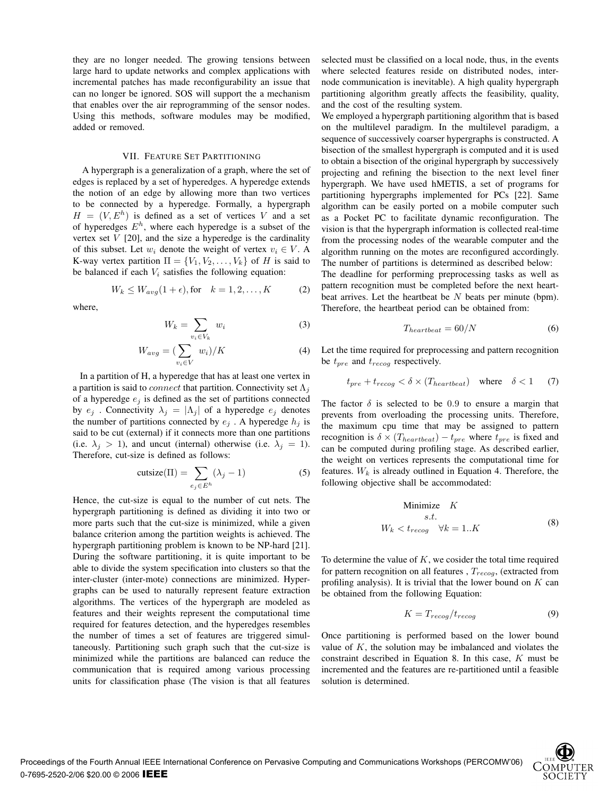they are no longer needed. The growing tensions between large hard to update networks and complex applications with incremental patches has made reconfigurability an issue that can no longer be ignored. SOS will support the a mechanism that enables over the air reprogramming of the sensor nodes. Using this methods, software modules may be modified, added or removed.

#### VII. FEATURE SET PARTITIONING

A hypergraph is a generalization of a graph, where the set of edges is replaced by a set of hyperedges. A hyperedge extends the notion of an edge by allowing more than two vertices to be connected by a hyperedge. Formally, a hypergraph  $H = (V, E^h)$  is defined as a set of vertices V and a set of hyperedges  $E^h$ , where each hyperedge is a subset of the vertex set  $V$  [20], and the size a hyperedge is the cardinality of this subset. Let  $w_i$  denote the weight of vertex  $v_i \in V$ . A K-way vertex partition  $\Pi = \{V_1, V_2, \ldots, V_k\}$  of H is said to be balanced if each  $V_i$  satisfies the following equation:

$$
W_k \le W_{avg}(1+\epsilon), \text{for} \quad k = 1, 2, \dots, K \tag{2}
$$

where,

$$
W_k = \sum_{v_i \in V_k} w_i \tag{3}
$$

$$
W_{avg} = \left(\sum_{v_i \in V} w_i\right) / K \tag{4}
$$

In a partition of H, a hyperedge that has at least one vertex in a partition is said to *connect* that partition. Connectivity set  $\Lambda_i$ of a hyperedge  $e_i$  is defined as the set of partitions connected by  $e_i$ . Connectivity  $\lambda_i = |\Lambda_i|$  of a hyperedge  $e_i$  denotes the number of partitions connected by  $e_i$ . A hyperedge  $h_i$  is said to be cut (external) if it connects more than one partitions (i.e.  $\lambda_j > 1$ ), and uncut (internal) otherwise (i.e.  $\lambda_j = 1$ ). Therefore, cut-size is defined as follows:

$$
\text{cutsize}(\Pi) = \sum_{e_j \in E^h} (\lambda_j - 1) \tag{5}
$$

Hence, the cut-size is equal to the number of cut nets. The hypergraph partitioning is defined as dividing it into two or more parts such that the cut-size is minimized, while a given balance criterion among the partition weights is achieved. The hypergraph partitioning problem is known to be NP-hard [21]. During the software partitioning, it is quite important to be able to divide the system specification into clusters so that the inter-cluster (inter-mote) connections are minimized. Hypergraphs can be used to naturally represent feature extraction algorithms. The vertices of the hypergraph are modeled as features and their weights represent the computational time required for features detection, and the hyperedges resembles the number of times a set of features are triggered simultaneously. Partitioning such graph such that the cut-size is minimized while the partitions are balanced can reduce the communication that is required among various processing units for classification phase (The vision is that all features selected must be classified on a local node, thus, in the events where selected features reside on distributed nodes, internode communication is inevitable). A high quality hypergraph partitioning algorithm greatly affects the feasibility, quality, and the cost of the resulting system.

We employed a hypergraph partitioning algorithm that is based on the multilevel paradigm. In the multilevel paradigm, a sequence of successively coarser hypergraphs is constructed. A bisection of the smallest hypergraph is computed and it is used to obtain a bisection of the original hypergraph by successively projecting and refining the bisection to the next level finer hypergraph. We have used hMETIS, a set of programs for partitioning hypergraphs implemented for PCs [22]. Same algorithm can be easily ported on a mobile computer such as a Pocket PC to facilitate dynamic reconfiguration. The vision is that the hypergraph information is collected real-time from the processing nodes of the wearable computer and the algorithm running on the motes are reconfigured accordingly. The number of partitions is determined as described below:

The deadline for performing preprocessing tasks as well as pattern recognition must be completed before the next heartbeat arrives. Let the heartbeat be  $N$  beats per minute (bpm). Therefore, the heartbeat period can be obtained from:

$$
T_{heartbeat} = 60/N \tag{6}
$$

Let the time required for preprocessing and pattern recognition be  $t_{pre}$  and  $t_{recog}$  respectively.

$$
t_{pre} + t_{recog} < \delta \times (T_{heartbeat}) \quad \text{where} \quad \delta < 1 \tag{7}
$$

The factor  $\delta$  is selected to be 0.9 to ensure a margin that prevents from overloading the processing units. Therefore, the maximum cpu time that may be assigned to pattern recognition is  $\delta \times (T_{heartbeat}) - t_{pre}$  where  $t_{pre}$  is fixed and can be computed during profiling stage. As described earlier, the weight on vertices represents the computational time for features.  $W_k$  is already outlined in Equation 4. Therefore, the following objective shall be accommodated:

Minimize K  
s.t.  

$$
W_k < t_{recog} \quad \forall k = 1..K \tag{8}
$$

To determine the value of  $K$ , we cosider the total time required for pattern recognition on all features ,  $T_{recog}$ , (extracted from profiling analysis). It is trivial that the lower bound on  $K$  can be obtained from the following Equation:

$$
K = T_{recog}/t_{recog}
$$
 (9)

Once partitioning is performed based on the lower bound value of  $K$ , the solution may be imbalanced and violates the constraint described in Equation 8. In this case, K must be incremented and the features are re-partitioned until a feasible solution is determined.

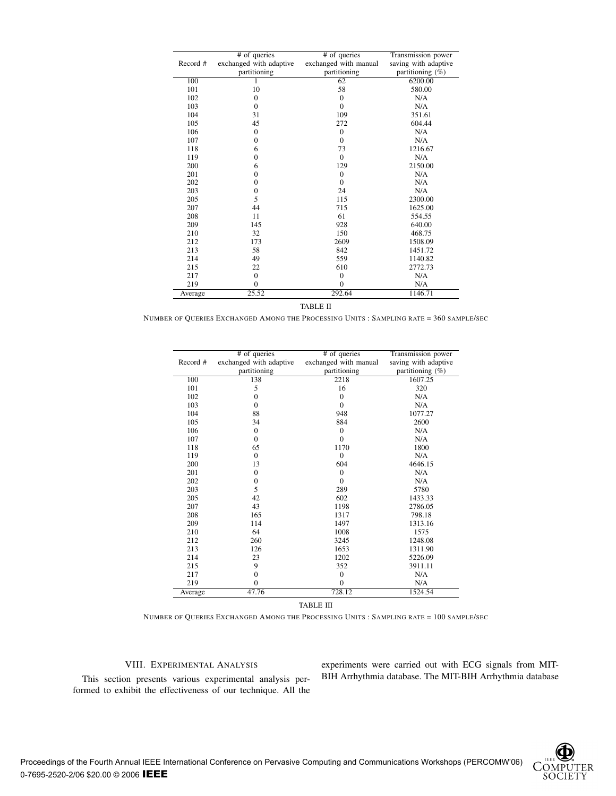|          | # of queries            | # of queries          | Transmission power   |
|----------|-------------------------|-----------------------|----------------------|
| Record # | exchanged with adaptive | exchanged with manual | saving with adaptive |
|          | partitioning            | partitioning          | partitioning $(\%)$  |
| 100      |                         | 62                    | 6200.00              |
| 101      | 10                      | 58                    | 580.00               |
| 102      | $\overline{0}$          | $\mathbf{0}$          | N/A                  |
| 103      | $\mathbf{0}$            | $\Omega$              | N/A                  |
| 104      | 31                      | 109                   | 351.61               |
| 105      | 45                      | 272                   | 604.44               |
| 106      | $\mathbf{0}$            | $\mathbf{0}$          | N/A                  |
| 107      | $\overline{0}$          | $\Omega$              | N/A                  |
| 118      | 6                       | 73                    | 1216.67              |
| 119      | $\overline{0}$          | $\mathbf{0}$          | N/A                  |
| 200      | 6                       | 129                   | 2150.00              |
| 201      | $\overline{0}$          | $\mathbf{0}$          | N/A                  |
| 202      | 0                       | $\Omega$              | N/A                  |
| 203      | $\mathbf{0}$            | 24                    | N/A                  |
| 205      | 5                       | 115                   | 2300.00              |
| 207      | 44                      | 715                   | 1625.00              |
| 208      | 11                      | 61                    | 554.55               |
| 209      | 145                     | 928                   | 640.00               |
| 210      | 32                      | 150                   | 468.75               |
| 212      | 173                     | 2609                  | 1508.09              |
| 213      | 58                      | 842                   | 1451.72              |
| 214      | 49                      | 559                   | 1140.82              |
| 215      | 22                      | 610                   | 2772.73              |
| 217      | $\mathbf{0}$            | $\overline{0}$        | N/A                  |
| 219      | $\overline{0}$          | $\theta$              | N/A                  |
| Average  | 25.52                   | 292.64                | 1146.71              |

TABLE II

NUMBER OF QUERIES EXCHANGED AMONG THE PROCESSING UNITS : SAMPLING RATE = 360 SAMPLE/SEC

|          | # of queries            | # of queries          | Transmission power   |
|----------|-------------------------|-----------------------|----------------------|
| Record # | exchanged with adaptive | exchanged with manual | saving with adaptive |
|          | partitioning            | partitioning          | partitioning $(\%)$  |
| 100      | 138                     | 2218                  | 1607.25              |
| 101      | 5                       | 16                    | 320                  |
| 102      | $\overline{0}$          | $\theta$              | N/A                  |
| 103      | $\mathbf{0}$            | $\theta$              | N/A                  |
| 104      | 88                      | 948                   | 1077.27              |
| 105      | 34                      | 884                   | 2600                 |
| 106      | $\mathbf{0}$            | $\mathbf{0}$          | N/A                  |
| 107      | $\overline{0}$          | $\mathbf{0}$          | N/A                  |
| 118      | 65                      | 1170                  | 1800                 |
| 119      | $\overline{0}$          | $\mathbf{0}$          | N/A                  |
| 200      | 13                      | 604                   | 4646.15              |
| 201      | $\overline{0}$          | $\mathbf{0}$          | N/A                  |
| 202      | $\boldsymbol{0}$        | $\Omega$              | N/A                  |
| 203      | 5                       | 289                   | 5780                 |
| 205      | 42                      | 602                   | 1433.33              |
| 207      | 43                      | 1198                  | 2786.05              |
| 208      | 165                     | 1317                  | 798.18               |
| 209      | 114                     | 1497                  | 1313.16              |
| 210      | 64                      | 1008                  | 1575                 |
| 212      | 260                     | 3245                  | 1248.08              |
| 213      | 126                     | 1653                  | 1311.90              |
| 214      | 23                      | 1202                  | 5226.09              |
| 215      | 9                       | 352                   | 3911.11              |
| 217      | $\mathbf{0}$            | $\overline{0}$        | N/A                  |
| 219      | $\overline{0}$          | $\Omega$              | N/A                  |
| Average  | 47.76                   | 728.12                | 1524.54              |

TABLE III

NUMBER OF QUERIES EXCHANGED AMONG THE PROCESSING UNITS : SAMPLING RATE = 100 SAMPLE/SEC

VIII. EXPERIMENTAL ANALYSIS

This section presents various experimental analysis performed to exhibit the effectiveness of our technique. All the

experiments were carried out with ECG signals from MIT-BIH Arrhythmia database. The MIT-BIH Arrhythmia database